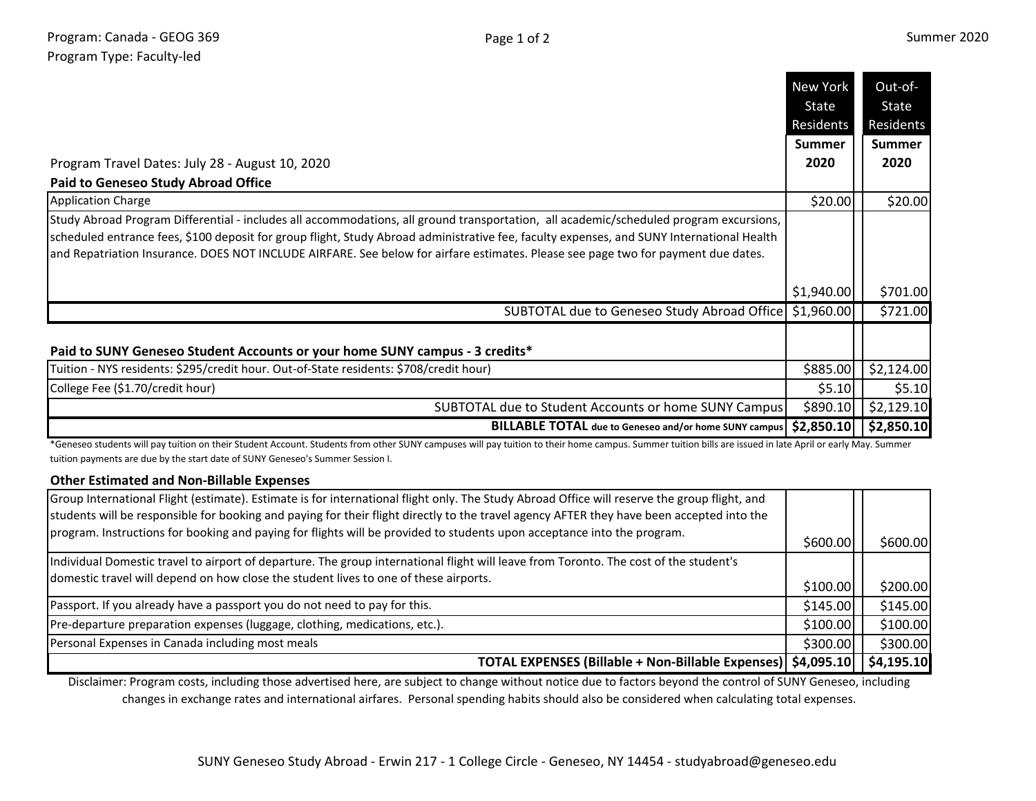|                                                                                                                                                                                                                                                                                     | New York      | Out-of-       |
|-------------------------------------------------------------------------------------------------------------------------------------------------------------------------------------------------------------------------------------------------------------------------------------|---------------|---------------|
|                                                                                                                                                                                                                                                                                     | State         | State         |
|                                                                                                                                                                                                                                                                                     | Residents     | Residents     |
|                                                                                                                                                                                                                                                                                     | <b>Summer</b> | <b>Summer</b> |
| Program Travel Dates: July 28 - August 10, 2020                                                                                                                                                                                                                                     | 2020          | 2020          |
| <b>Paid to Geneseo Study Abroad Office</b>                                                                                                                                                                                                                                          |               |               |
| <b>Application Charge</b>                                                                                                                                                                                                                                                           | \$20.00       | \$20.00       |
| Study Abroad Program Differential - includes all accommodations, all ground transportation, all academic/scheduled program excursions,<br>scheduled entrance fees, \$100 deposit for group flight, Study Abroad administrative fee, faculty expenses, and SUNY International Health |               |               |
| and Repatriation Insurance. DOES NOT INCLUDE AIRFARE. See below for airfare estimates. Please see page two for payment due dates.                                                                                                                                                   |               |               |
|                                                                                                                                                                                                                                                                                     | \$1,940.00    | \$701.00      |
| SUBTOTAL due to Geneseo Study Abroad Office   \$1,960.00                                                                                                                                                                                                                            |               | \$721.00      |
| Paid to SUNY Geneseo Student Accounts or your home SUNY campus - 3 credits*                                                                                                                                                                                                         |               |               |
| Tuition - NYS residents: \$295/credit hour. Out-of-State residents: \$708/credit hour)                                                                                                                                                                                              | \$885.00      | \$2,124.00    |
| College Fee (\$1.70/credit hour)                                                                                                                                                                                                                                                    | \$5.10        | \$5.10        |
| SUBTOTAL due to Student Accounts or home SUNY Campus                                                                                                                                                                                                                                | \$890.10      | \$2,129.10    |
| <b>BILLABLE TOTAL</b> due to Geneseo and/or home SUNY campus                                                                                                                                                                                                                        | \$2,850.10    | \$2,850.10    |

\*Geneseo students will pay tuition on their Student Account. Students from other SUNY campuses will pay tuition to their home campus. Summer tuition bills are issued in late April or early May. Summer tuition payments are due by the start date of SUNY Geneseo's Summer Session I.

## **Other Estimated and Non-Billable Expenses**

| Group International Flight (estimate). Estimate is for international flight only. The Study Abroad Office will reserve the group flight, and |           |            |
|----------------------------------------------------------------------------------------------------------------------------------------------|-----------|------------|
| students will be responsible for booking and paying for their flight directly to the travel agency AFTER they have been accepted into the    |           |            |
| program. Instructions for booking and paying for flights will be provided to students upon acceptance into the program.                      | \$600.00] | \$600.00   |
| Individual Domestic travel to airport of departure. The group international flight will leave from Toronto. The cost of the student's        |           |            |
| domestic travel will depend on how close the student lives to one of these airports.                                                         | \$100.00  | \$200.00   |
| Passport. If you already have a passport you do not need to pay for this.                                                                    | \$145.00  | \$145.00   |
| Pre-departure preparation expenses (luggage, clothing, medications, etc.).                                                                   | \$100.00  | \$100.00   |
| Personal Expenses in Canada including most meals                                                                                             | \$300.00  | \$300.00   |
| TOTAL EXPENSES (Billable + Non-Billable Expenses)   \$4,095.10                                                                               |           | \$4,195.10 |

Disclaimer: Program costs, including those advertised here, are subject to change without notice due to factors beyond the control of SUNY Geneseo, including changes in exchange rates and international airfares. Personal spending habits should also be considered when calculating total expenses.